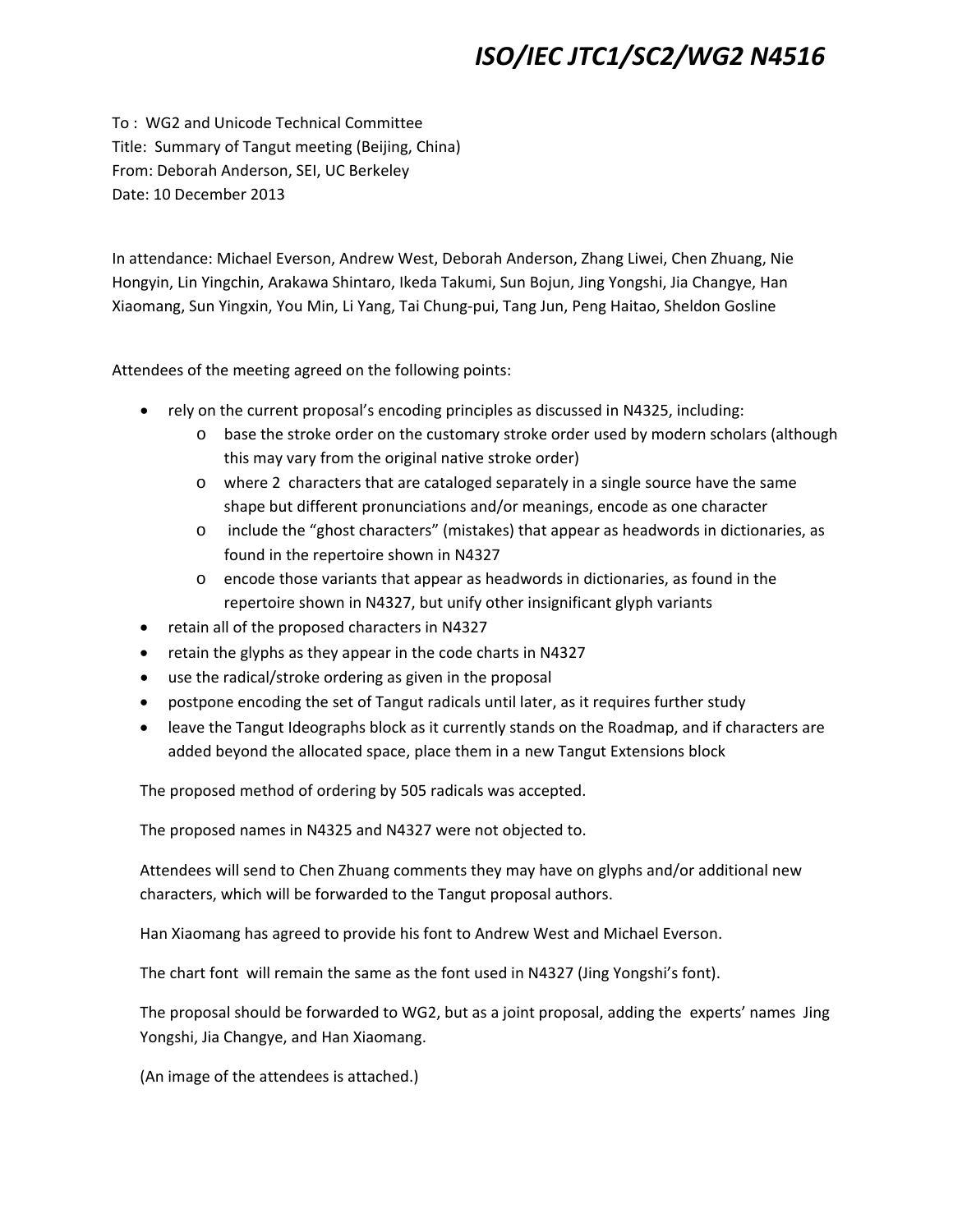## *ISO/IEC JTC1/SC2/WG2 N4516*

To : WG2 and Unicode Technical Committee Title: Summary of Tangut meeting (Beijing, China) From: Deborah Anderson, SEI, UC Berkeley Date: 10 December 2013

In attendance: Michael Everson, Andrew West, Deborah Anderson, Zhang Liwei, Chen Zhuang, Nie Hongyin, Lin Yingchin, Arakawa Shintaro, Ikeda Takumi, Sun Bojun, Jing Yongshi, Jia Changye, Han Xiaomang, Sun Yingxin, You Min, Li Yang, Tai Chung‐pui, Tang Jun, Peng Haitao, Sheldon Gosline

Attendees of the meeting agreed on the following points:

- rely on the current proposal's encoding principles as discussed in N4325, including:
	- o base the stroke order on the customary stroke order used by modern scholars (although this may vary from the original native stroke order)
	- o where 2 characters that are cataloged separately in a single source have the same shape but different pronunciations and/or meanings, encode as one character
	- o include the "ghost characters" (mistakes) that appear as headwords in dictionaries, as found in the repertoire shown in N4327
	- o encode those variants that appear as headwords in dictionaries, as found in the repertoire shown in N4327, but unify other insignificant glyph variants
- retain all of the proposed characters in N4327
- retain the glyphs as they appear in the code charts in N4327
- use the radical/stroke ordering as given in the proposal
- postpone encoding the set of Tangut radicals until later, as it requires further study
- leave the Tangut Ideographs block as it currently stands on the Roadmap, and if characters are added beyond the allocated space, place them in a new Tangut Extensions block

The proposed method of ordering by 505 radicals was accepted.

The proposed names in N4325 and N4327 were not objected to.

Attendees will send to Chen Zhuang comments they may have on glyphs and/or additional new characters, which will be forwarded to the Tangut proposal authors.

Han Xiaomang has agreed to provide his font to Andrew West and Michael Everson.

The chart font will remain the same as the font used in N4327 (Jing Yongshi's font).

The proposal should be forwarded to WG2, but as a joint proposal, adding the experts' names Jing Yongshi, Jia Changye, and Han Xiaomang.

(An image of the attendees is attached.)